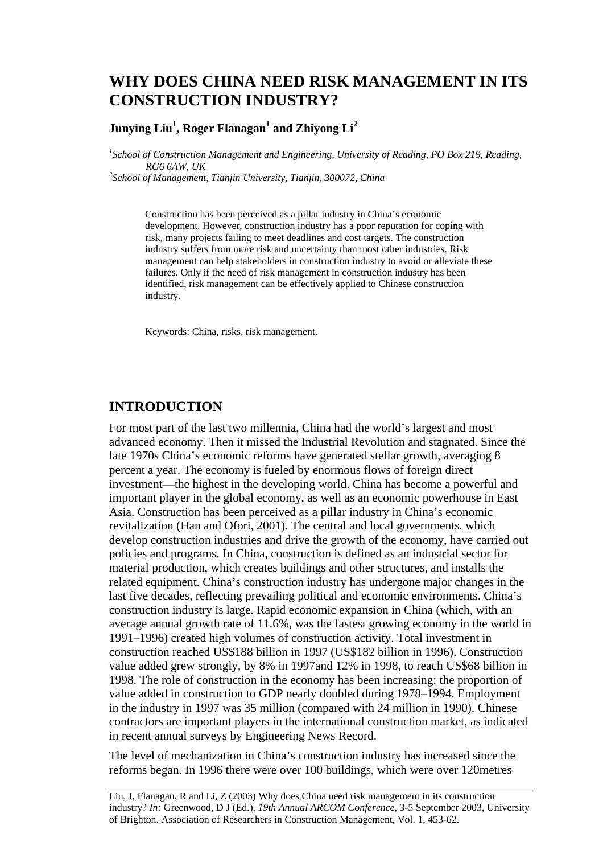# **WHY DOES CHINA NEED RISK MANAGEMENT IN ITS CONSTRUCTION INDUSTRY?**

### $\bm{\mathrm{Junying}}$   $\bm{\mathrm{Liu}}^1$ , Roger Flanagan $^1$  and  $\bm{\mathrm{Zhiyong}}$   $\bm{\mathrm{Li}}^2$

<sup>1</sup> School of Construction Management and Engineering, University of Reading, PO Box 219, Reading, *RG6 6AW, UK 2 School of Management, Tianjin University, Tianjin, 300072, China* 

Construction has been perceived as a pillar industry in China's economic development. However, construction industry has a poor reputation for coping with risk, many projects failing to meet deadlines and cost targets. The construction industry suffers from more risk and uncertainty than most other industries. Risk management can help stakeholders in construction industry to avoid or alleviate these failures. Only if the need of risk management in construction industry has been identified, risk management can be effectively applied to Chinese construction industry.

Keywords: China, risks, risk management.

### **INTRODUCTION**

For most part of the last two millennia, China had the world's largest and most advanced economy. Then it missed the Industrial Revolution and stagnated. Since the late 1970s China's economic reforms have generated stellar growth, averaging 8 percent a year. The economy is fueled by enormous flows of foreign direct investment—the highest in the developing world. China has become a powerful and important player in the global economy, as well as an economic powerhouse in East Asia. Construction has been perceived as a pillar industry in China's economic revitalization (Han and Ofori, 2001). The central and local governments, which develop construction industries and drive the growth of the economy, have carried out policies and programs. In China, construction is defined as an industrial sector for material production, which creates buildings and other structures, and installs the related equipment. China's construction industry has undergone major changes in the last five decades, reflecting prevailing political and economic environments. China's construction industry is large. Rapid economic expansion in China (which, with an average annual growth rate of 11.6%, was the fastest growing economy in the world in 1991–1996) created high volumes of construction activity. Total investment in construction reached US\$188 billion in 1997 (US\$182 billion in 1996). Construction value added grew strongly, by 8% in 1997and 12% in 1998, to reach US\$68 billion in 1998. The role of construction in the economy has been increasing: the proportion of value added in construction to GDP nearly doubled during 1978–1994. Employment in the industry in 1997 was 35 million (compared with 24 million in 1990). Chinese contractors are important players in the international construction market, as indicated in recent annual surveys by Engineering News Record.

The level of mechanization in China's construction industry has increased since the reforms began. In 1996 there were over 100 buildings, which were over 120metres

Liu, J, Flanagan, R and Li, Z (2003) Why does China need risk management in its construction industry? *In:* Greenwood, D J (Ed.), *19th Annual ARCOM Conference*, 3-5 September 2003, University of Brighton. Association of Researchers in Construction Management, Vol. 1, 453-62.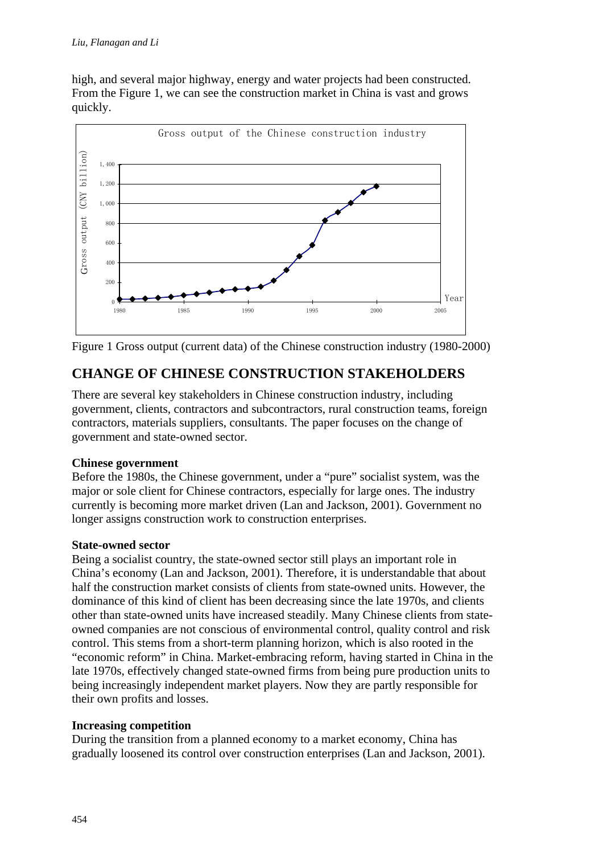high, and several major highway, energy and water projects had been constructed. From the Figure 1, we can see the construction market in China is vast and grows quickly.



Figure 1 Gross output (current data) of the Chinese construction industry (1980-2000)

# **CHANGE OF CHINESE CONSTRUCTION STAKEHOLDERS**

There are several key stakeholders in Chinese construction industry, including government, clients, contractors and subcontractors, rural construction teams, foreign contractors, materials suppliers, consultants. The paper focuses on the change of government and state-owned sector.

### **Chinese government**

Before the 1980s, the Chinese government, under a "pure" socialist system, was the major or sole client for Chinese contractors, especially for large ones. The industry currently is becoming more market driven (Lan and Jackson, 2001). Government no longer assigns construction work to construction enterprises.

### **State-owned sector**

Being a socialist country, the state-owned sector still plays an important role in China's economy (Lan and Jackson, 2001). Therefore, it is understandable that about half the construction market consists of clients from state-owned units. However, the dominance of this kind of client has been decreasing since the late 1970s, and clients other than state-owned units have increased steadily. Many Chinese clients from stateowned companies are not conscious of environmental control, quality control and risk control. This stems from a short-term planning horizon, which is also rooted in the "economic reform" in China. Market-embracing reform, having started in China in the late 1970s, effectively changed state-owned firms from being pure production units to being increasingly independent market players. Now they are partly responsible for their own profits and losses.

### **Increasing competition**

During the transition from a planned economy to a market economy, China has gradually loosened its control over construction enterprises (Lan and Jackson, 2001).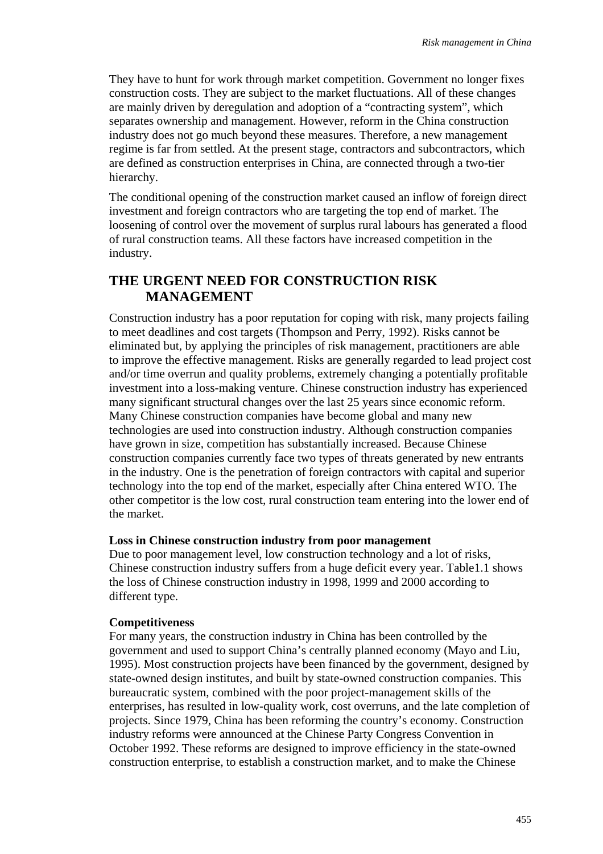They have to hunt for work through market competition. Government no longer fixes construction costs. They are subject to the market fluctuations. All of these changes are mainly driven by deregulation and adoption of a "contracting system", which separates ownership and management. However, reform in the China construction industry does not go much beyond these measures. Therefore, a new management regime is far from settled. At the present stage, contractors and subcontractors, which are defined as construction enterprises in China, are connected through a two-tier hierarchy.

The conditional opening of the construction market caused an inflow of foreign direct investment and foreign contractors who are targeting the top end of market. The loosening of control over the movement of surplus rural labours has generated a flood of rural construction teams. All these factors have increased competition in the industry.

## **THE URGENT NEED FOR CONSTRUCTION RISK MANAGEMENT**

Construction industry has a poor reputation for coping with risk, many projects failing to meet deadlines and cost targets (Thompson and Perry, 1992). Risks cannot be eliminated but, by applying the principles of risk management, practitioners are able to improve the effective management. Risks are generally regarded to lead project cost and/or time overrun and quality problems, extremely changing a potentially profitable investment into a loss-making venture. Chinese construction industry has experienced many significant structural changes over the last 25 years since economic reform. Many Chinese construction companies have become global and many new technologies are used into construction industry. Although construction companies have grown in size, competition has substantially increased. Because Chinese construction companies currently face two types of threats generated by new entrants in the industry. One is the penetration of foreign contractors with capital and superior technology into the top end of the market, especially after China entered WTO. The other competitor is the low cost, rural construction team entering into the lower end of the market.

#### **Loss in Chinese construction industry from poor management**

Due to poor management level, low construction technology and a lot of risks, Chinese construction industry suffers from a huge deficit every year. Table1.1 shows the loss of Chinese construction industry in 1998, 1999 and 2000 according to different type.

#### **Competitiveness**

For many years, the construction industry in China has been controlled by the government and used to support China's centrally planned economy (Mayo and Liu, 1995). Most construction projects have been financed by the government, designed by state-owned design institutes, and built by state-owned construction companies. This bureaucratic system, combined with the poor project-management skills of the enterprises, has resulted in low-quality work, cost overruns, and the late completion of projects. Since 1979, China has been reforming the country's economy. Construction industry reforms were announced at the Chinese Party Congress Convention in October 1992. These reforms are designed to improve efficiency in the state-owned construction enterprise, to establish a construction market, and to make the Chinese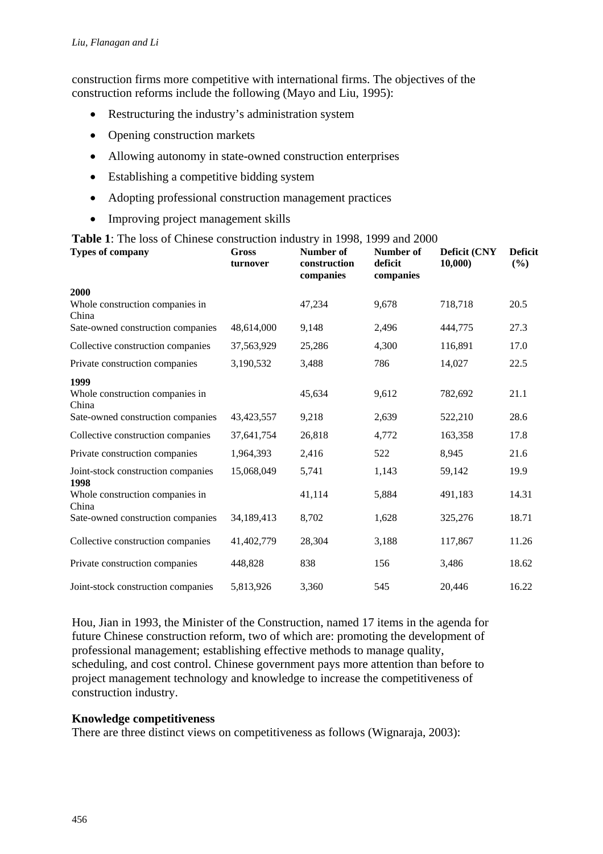construction firms more competitive with international firms. The objectives of the construction reforms include the following (Mayo and Liu, 1995):

- Restructuring the industry's administration system
- Opening construction markets
- Allowing autonomy in state-owned construction enterprises
- Establishing a competitive bidding system
- Adopting professional construction management practices
- Improving project management skills

### **Table 1**: The loss of Chinese construction industry in 1998, 1999 and 2000

| <b>Types of company</b>                    | Gross<br>turnover | Number of<br>construction<br>companies | Number of<br>deficit<br>companies | Deficit (CNY<br>10,000 | <b>Deficit</b><br>(%) |
|--------------------------------------------|-------------------|----------------------------------------|-----------------------------------|------------------------|-----------------------|
| 2000                                       |                   |                                        |                                   |                        |                       |
| Whole construction companies in<br>China   |                   | 47,234                                 | 9,678                             | 718,718                | 20.5                  |
| Sate-owned construction companies          | 48,614,000        | 9,148                                  | 2,496                             | 444,775                | 27.3                  |
| Collective construction companies          | 37,563,929        | 25,286                                 | 4,300                             | 116,891                | 17.0                  |
| Private construction companies             | 3,190,532         | 3,488                                  | 786                               | 14,027                 | 22.5                  |
| 1999                                       |                   |                                        |                                   |                        |                       |
| Whole construction companies in<br>China   |                   | 45,634                                 | 9,612                             | 782,692                | 21.1                  |
| Sate-owned construction companies          | 43, 423, 557      | 9,218                                  | 2,639                             | 522,210                | 28.6                  |
| Collective construction companies          | 37,641,754        | 26,818                                 | 4,772                             | 163,358                | 17.8                  |
| Private construction companies             | 1,964,393         | 2,416                                  | 522                               | 8,945                  | 21.6                  |
| Joint-stock construction companies<br>1998 | 15,068,049        | 5,741                                  | 1,143                             | 59,142                 | 19.9                  |
| Whole construction companies in<br>China   |                   | 41,114                                 | 5,884                             | 491,183                | 14.31                 |
| Sate-owned construction companies          | 34,189,413        | 8,702                                  | 1,628                             | 325,276                | 18.71                 |
| Collective construction companies          | 41,402,779        | 28,304                                 | 3,188                             | 117,867                | 11.26                 |
| Private construction companies             | 448,828           | 838                                    | 156                               | 3,486                  | 18.62                 |
| Joint-stock construction companies         | 5,813,926         | 3,360                                  | 545                               | 20,446                 | 16.22                 |

Hou, Jian in 1993, the Minister of the Construction, named 17 items in the agenda for future Chinese construction reform, two of which are: promoting the development of professional management; establishing effective methods to manage quality, scheduling, and cost control. Chinese government pays more attention than before to project management technology and knowledge to increase the competitiveness of construction industry.

### **Knowledge competitiveness**

There are three distinct views on competitiveness as follows (Wignaraja, 2003):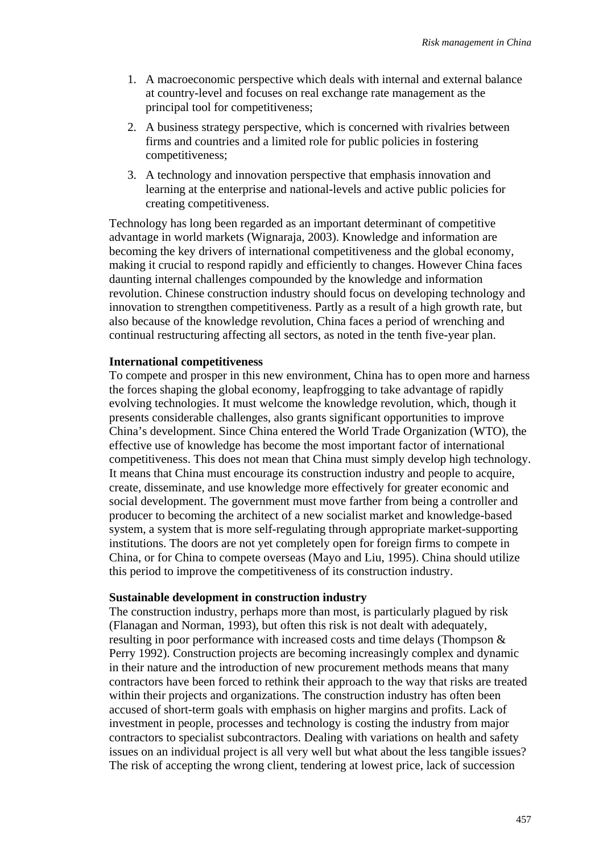- 1. A macroeconomic perspective which deals with internal and external balance at country-level and focuses on real exchange rate management as the principal tool for competitiveness;
- 2. A business strategy perspective, which is concerned with rivalries between firms and countries and a limited role for public policies in fostering competitiveness;
- 3. A technology and innovation perspective that emphasis innovation and learning at the enterprise and national-levels and active public policies for creating competitiveness.

Technology has long been regarded as an important determinant of competitive advantage in world markets (Wignaraja, 2003). Knowledge and information are becoming the key drivers of international competitiveness and the global economy, making it crucial to respond rapidly and efficiently to changes. However China faces daunting internal challenges compounded by the knowledge and information revolution. Chinese construction industry should focus on developing technology and innovation to strengthen competitiveness. Partly as a result of a high growth rate, but also because of the knowledge revolution, China faces a period of wrenching and continual restructuring affecting all sectors, as noted in the tenth five-year plan.

#### **International competitiveness**

To compete and prosper in this new environment, China has to open more and harness the forces shaping the global economy, leapfrogging to take advantage of rapidly evolving technologies. It must welcome the knowledge revolution, which, though it presents considerable challenges, also grants significant opportunities to improve China's development. Since China entered the World Trade Organization (WTO), the effective use of knowledge has become the most important factor of international competitiveness. This does not mean that China must simply develop high technology. It means that China must encourage its construction industry and people to acquire, create, disseminate, and use knowledge more effectively for greater economic and social development. The government must move farther from being a controller and producer to becoming the architect of a new socialist market and knowledge-based system, a system that is more self-regulating through appropriate market-supporting institutions. The doors are not yet completely open for foreign firms to compete in China, or for China to compete overseas (Mayo and Liu, 1995). China should utilize this period to improve the competitiveness of its construction industry.

#### **Sustainable development in construction industry**

The construction industry, perhaps more than most, is particularly plagued by risk (Flanagan and Norman, 1993), but often this risk is not dealt with adequately, resulting in poor performance with increased costs and time delays (Thompson & Perry 1992). Construction projects are becoming increasingly complex and dynamic in their nature and the introduction of new procurement methods means that many contractors have been forced to rethink their approach to the way that risks are treated within their projects and organizations. The construction industry has often been accused of short-term goals with emphasis on higher margins and profits. Lack of investment in people, processes and technology is costing the industry from major contractors to specialist subcontractors. Dealing with variations on health and safety issues on an individual project is all very well but what about the less tangible issues? The risk of accepting the wrong client, tendering at lowest price, lack of succession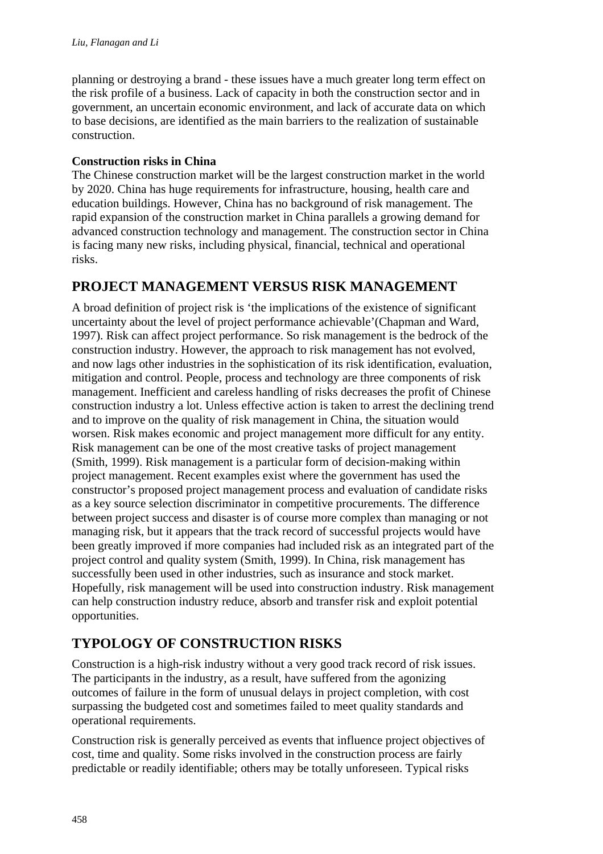planning or destroying a brand - these issues have a much greater long term effect on the risk profile of a business. Lack of capacity in both the construction sector and in government, an uncertain economic environment, and lack of accurate data on which to base decisions, are identified as the main barriers to the realization of sustainable construction.

### **Construction risks in China**

The Chinese construction market will be the largest construction market in the world by 2020. China has huge requirements for infrastructure, housing, health care and education buildings. However, China has no background of risk management. The rapid expansion of the construction market in China parallels a growing demand for advanced construction technology and management. The construction sector in China is facing many new risks, including physical, financial, technical and operational risks.

## **PROJECT MANAGEMENT VERSUS RISK MANAGEMENT**

A broad definition of project risk is 'the implications of the existence of significant uncertainty about the level of project performance achievable'(Chapman and Ward, 1997). Risk can affect project performance. So risk management is the bedrock of the construction industry. However, the approach to risk management has not evolved, and now lags other industries in the sophistication of its risk identification, evaluation, mitigation and control. People, process and technology are three components of risk management. Inefficient and careless handling of risks decreases the profit of Chinese construction industry a lot. Unless effective action is taken to arrest the declining trend and to improve on the quality of risk management in China, the situation would worsen. Risk makes economic and project management more difficult for any entity. Risk management can be one of the most creative tasks of project management (Smith, 1999). Risk management is a particular form of decision-making within project management. Recent examples exist where the government has used the constructor's proposed project management process and evaluation of candidate risks as a key source selection discriminator in competitive procurements. The difference between project success and disaster is of course more complex than managing or not managing risk, but it appears that the track record of successful projects would have been greatly improved if more companies had included risk as an integrated part of the project control and quality system (Smith, 1999). In China, risk management has successfully been used in other industries, such as insurance and stock market. Hopefully, risk management will be used into construction industry. Risk management can help construction industry reduce, absorb and transfer risk and exploit potential opportunities.

# **TYPOLOGY OF CONSTRUCTION RISKS**

Construction is a high-risk industry without a very good track record of risk issues. The participants in the industry, as a result, have suffered from the agonizing outcomes of failure in the form of unusual delays in project completion, with cost surpassing the budgeted cost and sometimes failed to meet quality standards and operational requirements.

Construction risk is generally perceived as events that influence project objectives of cost, time and quality. Some risks involved in the construction process are fairly predictable or readily identifiable; others may be totally unforeseen. Typical risks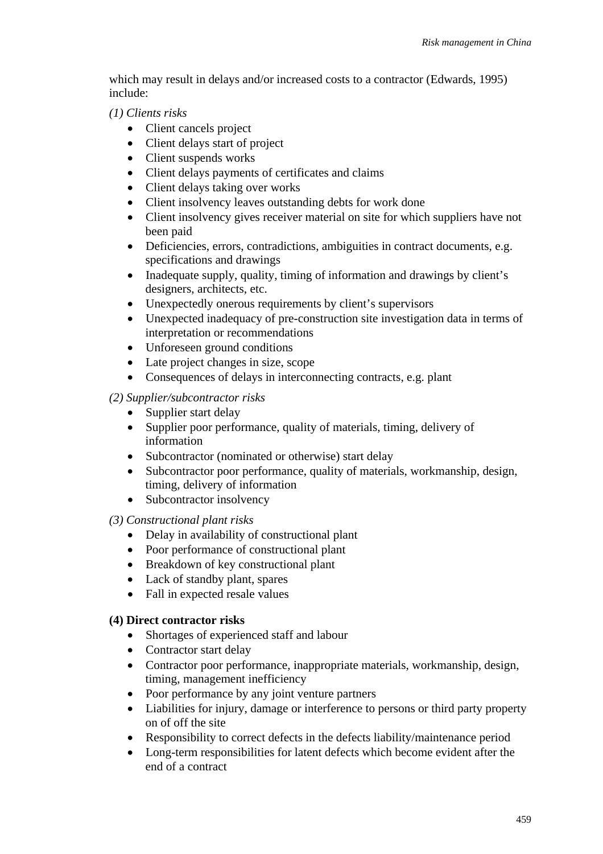which may result in delays and/or increased costs to a contractor (Edwards, 1995) include:

*(1) Clients risks* 

- Client cancels project
- Client delays start of project
- Client suspends works
- Client delays payments of certificates and claims
- Client delays taking over works
- Client insolvency leaves outstanding debts for work done
- Client insolvency gives receiver material on site for which suppliers have not been paid
- Deficiencies, errors, contradictions, ambiguities in contract documents, e.g. specifications and drawings
- Inadequate supply, quality, timing of information and drawings by client's designers, architects, etc.
- Unexpectedly onerous requirements by client's supervisors
- Unexpected inadequacy of pre-construction site investigation data in terms of interpretation or recommendations
- Unforeseen ground conditions
- Late project changes in size, scope
- Consequences of delays in interconnecting contracts, e.g. plant

### *(2) Supplier/subcontractor risks*

- Supplier start delay
- Supplier poor performance, quality of materials, timing, delivery of information
- Subcontractor (nominated or otherwise) start delay
- Subcontractor poor performance, quality of materials, workmanship, design, timing, delivery of information
- Subcontractor insolvency

### *(3) Constructional plant risks*

- Delay in availability of constructional plant
- Poor performance of constructional plant
- Breakdown of key constructional plant
- Lack of standby plant, spares
- Fall in expected resale values

### **(4) Direct contractor risks**

- Shortages of experienced staff and labour
- Contractor start delay
- Contractor poor performance, inappropriate materials, workmanship, design, timing, management inefficiency
- Poor performance by any joint venture partners
- Liabilities for injury, damage or interference to persons or third party property on of off the site
- Responsibility to correct defects in the defects liability/maintenance period
- Long-term responsibilities for latent defects which become evident after the end of a contract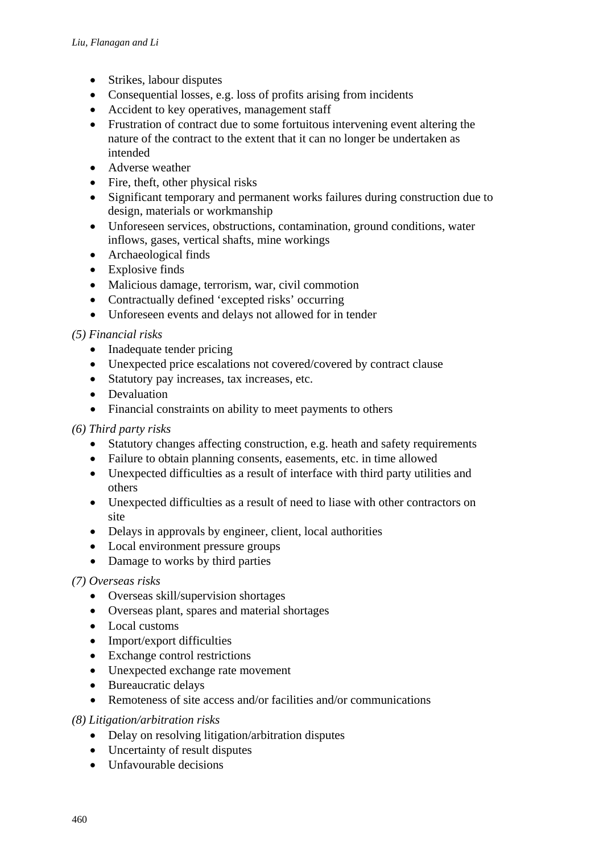- Strikes, labour disputes
- Consequential losses, e.g. loss of profits arising from incidents
- Accident to key operatives, management staff
- Frustration of contract due to some fortuitous intervening event altering the nature of the contract to the extent that it can no longer be undertaken as intended
- Adverse weather
- Fire, theft, other physical risks
- Significant temporary and permanent works failures during construction due to design, materials or workmanship
- Unforeseen services, obstructions, contamination, ground conditions, water inflows, gases, vertical shafts, mine workings
- Archaeological finds
- Explosive finds
- Malicious damage, terrorism, war, civil commotion
- Contractually defined 'excepted risks' occurring
- Unforeseen events and delays not allowed for in tender

### *(5) Financial risks*

- Inadequate tender pricing
- Unexpected price escalations not covered/covered by contract clause
- Statutory pay increases, tax increases, etc.
- Devaluation
- Financial constraints on ability to meet payments to others

### *(6) Third party risks*

- Statutory changes affecting construction, e.g. heath and safety requirements
- Failure to obtain planning consents, easements, etc. in time allowed
- Unexpected difficulties as a result of interface with third party utilities and others
- Unexpected difficulties as a result of need to liase with other contractors on site
- Delays in approvals by engineer, client, local authorities
- Local environment pressure groups
- Damage to works by third parties

### *(7) Overseas risks*

- Overseas skill/supervision shortages
- Overseas plant, spares and material shortages
- Local customs
- Import/export difficulties
- Exchange control restrictions
- Unexpected exchange rate movement
- Bureaucratic delays
- Remoteness of site access and/or facilities and/or communications

### *(8) Litigation/arbitration risks*

- Delay on resolving litigation/arbitration disputes
- Uncertainty of result disputes
- Unfavourable decisions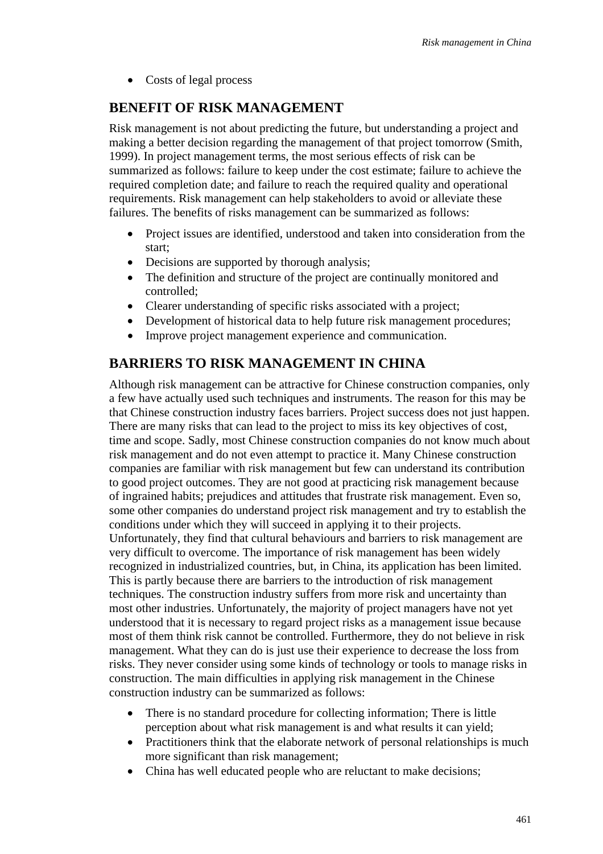• Costs of legal process

# **BENEFIT OF RISK MANAGEMENT**

Risk management is not about predicting the future, but understanding a project and making a better decision regarding the management of that project tomorrow (Smith, 1999). In project management terms, the most serious effects of risk can be summarized as follows: failure to keep under the cost estimate; failure to achieve the required completion date; and failure to reach the required quality and operational requirements. Risk management can help stakeholders to avoid or alleviate these failures. The benefits of risks management can be summarized as follows:

- Project issues are identified, understood and taken into consideration from the start;
- Decisions are supported by thorough analysis;
- The definition and structure of the project are continually monitored and controlled;
- Clearer understanding of specific risks associated with a project;
- Development of historical data to help future risk management procedures:
- Improve project management experience and communication.

## **BARRIERS TO RISK MANAGEMENT IN CHINA**

Although risk management can be attractive for Chinese construction companies, only a few have actually used such techniques and instruments. The reason for this may be that Chinese construction industry faces barriers. Project success does not just happen. There are many risks that can lead to the project to miss its key objectives of cost, time and scope. Sadly, most Chinese construction companies do not know much about risk management and do not even attempt to practice it. Many Chinese construction companies are familiar with risk management but few can understand its contribution to good project outcomes. They are not good at practicing risk management because of ingrained habits; prejudices and attitudes that frustrate risk management. Even so, some other companies do understand project risk management and try to establish the conditions under which they will succeed in applying it to their projects. Unfortunately, they find that cultural behaviours and barriers to risk management are very difficult to overcome. The importance of risk management has been widely recognized in industrialized countries, but, in China, its application has been limited. This is partly because there are barriers to the introduction of risk management techniques. The construction industry suffers from more risk and uncertainty than most other industries. Unfortunately, the majority of project managers have not yet understood that it is necessary to regard project risks as a management issue because most of them think risk cannot be controlled. Furthermore, they do not believe in risk management. What they can do is just use their experience to decrease the loss from risks. They never consider using some kinds of technology or tools to manage risks in construction. The main difficulties in applying risk management in the Chinese construction industry can be summarized as follows:

- There is no standard procedure for collecting information; There is little perception about what risk management is and what results it can yield;
- Practitioners think that the elaborate network of personal relationships is much more significant than risk management;
- China has well educated people who are reluctant to make decisions;